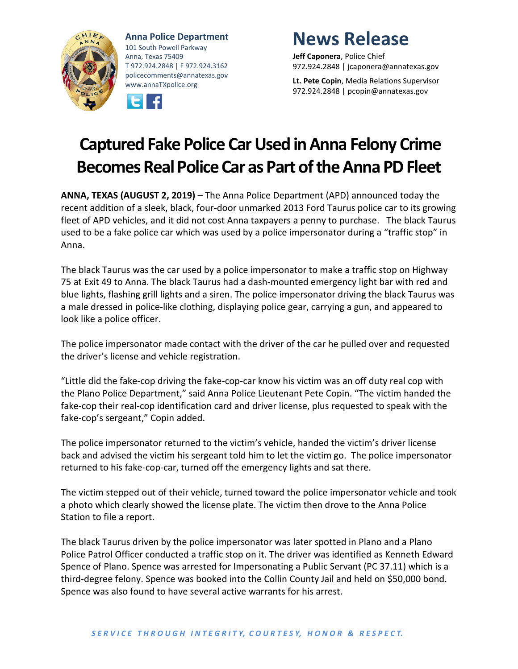

**Anna Police Department** 101 South Powell Parkway Anna, Texas 75409 T 972.924.2848 | F 972.924.3162 policecomments@annatexas.gov www.annaTXpolice.org



## **News Release**

**Jeff Caponera**, Police Chief 972.924.2848 | jcaponera@annatexas.gov

**Lt. Pete Copin**, Media Relations Supervisor 972.924.2848 | pcopin@annatexas.gov

## **Captured Fake Police Car Used in Anna Felony Crime Becomes Real Police Car as Part ofthe Anna PD Fleet**

**ANNA, TEXAS (AUGUST 2, 2019)** – The Anna Police Department (APD) announced today the recent addition of a sleek, black, four-door unmarked 2013 Ford Taurus police car to its growing fleet of APD vehicles, and it did not cost Anna taxpayers a penny to purchase. The black Taurus used to be a fake police car which was used by a police impersonator during a "traffic stop" in Anna.

The black Taurus was the car used by a police impersonator to make a traffic stop on Highway 75 at Exit 49 to Anna. The black Taurus had a dash-mounted emergency light bar with red and blue lights, flashing grill lights and a siren. The police impersonator driving the black Taurus was a male dressed in police-like clothing, displaying police gear, carrying a gun, and appeared to look like a police officer.

The police impersonator made contact with the driver of the car he pulled over and requested the driver's license and vehicle registration.

"Little did the fake-cop driving the fake-cop-car know his victim was an off duty real cop with the Plano Police Department," said Anna Police Lieutenant Pete Copin. "The victim handed the fake-cop their real-cop identification card and driver license, plus requested to speak with the fake-cop's sergeant," Copin added.

The police impersonator returned to the victim's vehicle, handed the victim's driver license back and advised the victim his sergeant told him to let the victim go. The police impersonator returned to his fake-cop-car, turned off the emergency lights and sat there.

The victim stepped out of their vehicle, turned toward the police impersonator vehicle and took a photo which clearly showed the license plate. The victim then drove to the Anna Police Station to file a report.

The black Taurus driven by the police impersonator was later spotted in Plano and a Plano Police Patrol Officer conducted a traffic stop on it. The driver was identified as Kenneth Edward Spence of Plano. Spence was arrested for Impersonating a Public Servant (PC 37.11) which is a third-degree felony. Spence was booked into the Collin County Jail and held on \$50,000 bond. Spence was also found to have several active warrants for his arrest.